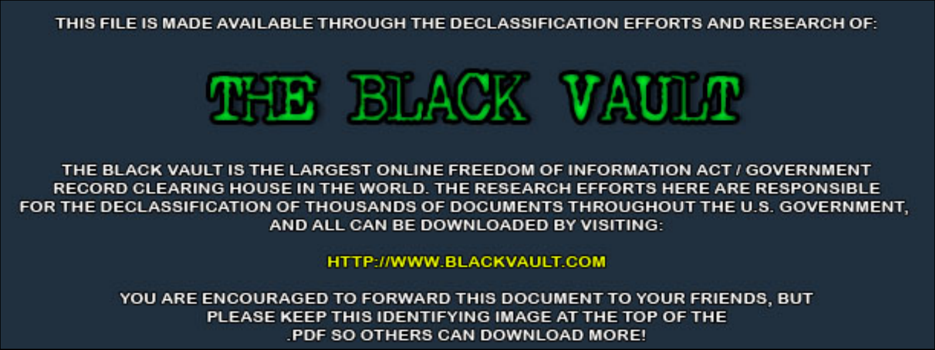THIS FILE IS MADE AVAILABLE THROUGH THE DECLASSIFICATION EFFORTS AND RESEARCH OF:



THE BLACK VAULT IS THE LARGEST ONLINE FREEDOM OF INFORMATION ACT / GOVERNMENT RECORD CLEARING HOUSE IN THE WORLD. THE RESEARCH EFFORTS HERE ARE RESPONSIBLE FOR THE DECLASSIFICATION OF THOUSANDS OF DOCUMENTS THROUGHOUT THE U.S. GOVERNMENT, AND ALL CAN BE DOWNLOADED BY VISITING:

**HTTP://WWW.BLACKVAULT.COM** 

YOU ARE ENCOURAGED TO FORWARD THIS DOCUMENT TO YOUR FRIENDS, BUT PLEASE KEEP THIS IDENTIFYING IMAGE AT THE TOP OF THE PDF SO OTHERS CAN DOWNLOAD MORE!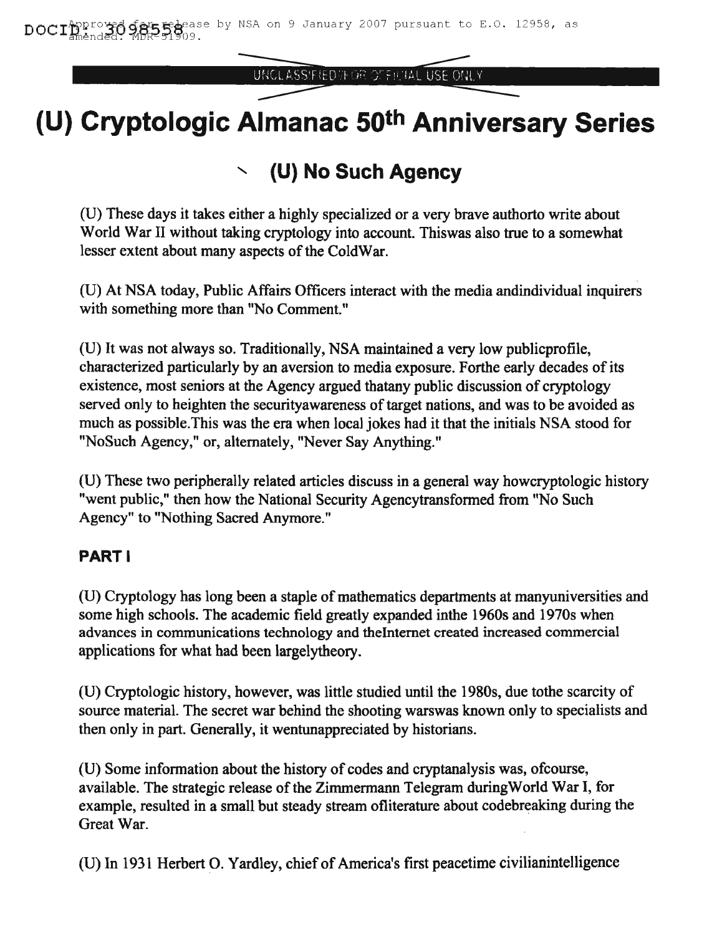UNCLASSIFIED IN OR OFFICIAL USE ONLY

# **(U) Cryptologic Almanac 50th Anniversary Series**

## " **(U) No Such Agency**

(U) These days it takes either a highly specialized or a very brave authorto write about World War II without taking cryptology into account. Thiswas also true to a somewhat lesser extent about many aspects of the ColdWar.

(0) At NSA today, Public Affairs Officers interact with the media andindividual inquirers with something more than "No Comment."

(0) It was not always so. Traditionally, NSA maintained a very low publicprofile, characterized particularly by an aversion to media exposure. Forthe early decades of its existence, most seniors at the Agency argued thatany public discussion of cryptology served only to heighten the securityawareness of target nations, and was to be avoided as much as possible.This was the era when local jokes had it that the initials NSA stood for "NoSuch Agency," or, alternately, "Never Say Anything."

(U) These two peripherally related articles discuss in a general way howcryptologic history "went public," then how the National Security Agencytransformed from "No Such Agency" to "Nothing Sacred Anymore."

#### PART I

(U) Cryptology has long been a staple of mathematics departments at manyuniversities and some high schools. The academic field greatly expanded inthe 1960s and 1970s when advances in communications technology and theIntemet created increased commercial applications for what had been largelytheory.

(U) Cryptologic history, however, was little studied until the 1980s, due tothe scarcity of source material. The secret war behind the shooting warswas known only to specialists and then only in part. Generally, it wentunappreciated by historians.

(U) Some infonnation about the history of codes and cryptanalysis was, ofcourse, available. The strategic release of the Zimmermann Telegram duringWorld War I, for example, resulted in a small but steady stream ofliterature about codebreaking during the Great War.

(U) In 1931 Herbert O. Yardley, chief of America's first peacetime civilianintelligence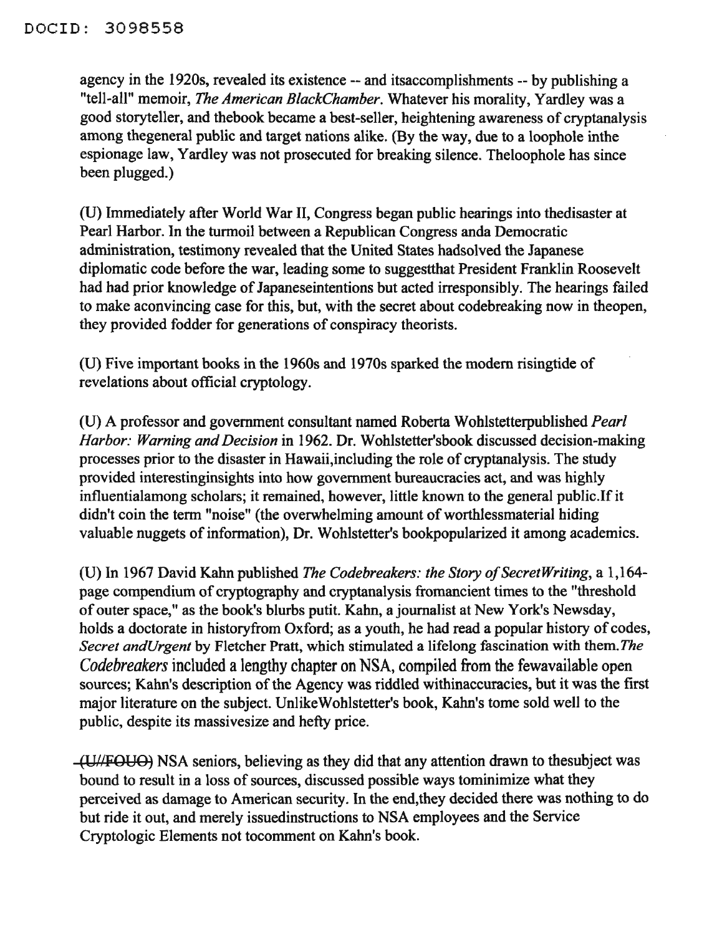agency in the 1920s, revealed its existence -- and itsaccomplishments -- by publishing a "tell-all" memoir, *The American BlackChamber.* Whatever his morality, Yardley was a good storyteller, and thebook became a best-seller, heightening awareness of cryptanalysis among thegeneral public and target nations alike. (By the way, due to a loophole inthe espionage law, Yardley was not prosecuted for breaking silence. Theloophole has since been plugged.)

(U) Immediately after World War II, Congress began public hearings into thedisaster at Pearl Harbor. In the turmoil between a Republican Congress anda Democratic administration, testimony revealed that the United States hadsolved the Japanese diplomatic code before the war, leading some to suggestthat President Franklin Roosevelt had had prior knowledge of Japaneseintentions but acted irresponsibly. The hearings failed to make aconvincing case for this, but, with the secret about codebreaking now in theopen, they provided fodder for generations of conspiracy theorists.

(U) Five important books in the 1960s and 1970s sparked the modem risingtide of revelations about official cryptology.

(U) A professor and government consultant named Roberta Wohlstetterpublished *Pearl Harbor: Warning and Decision* in 1962. Dr. Wohlstetter'sbook discussed decision-making processes prior to the disaster in Hawaii,including the role of cryptanalysis. The study provided interestinginsights into how government bureaucracies act, and was highly influentialamong scholars; it remained, however, little known to the general public.If it didn't coin the term "noise" (the overwhelming amount of worthlessmaterial hiding valuable nuggets of information), Dr. Wohlstetter's bookpopularized it among academics.

(U) In 1967 David Kahn published *The Codebreakers: the Story ojSecretWriting,* a 1,164 page compendium of cryptography and cryptanalysis fromancient times to the "threshold ofouter space," as the book's blurbs putit. Kahn, a journalist at New York's Newsday, holds a doctorate in historyfrom Oxford; as a youth, he had read a popular history of codes, *Secret andUrgent* by Fletcher Pratt, which stimulated a lifelong fascination with them.*The Codebreakers* included a lengthy chapter on NSA, compiled from the fewavailable open sources; Kahn's description of the Agency was riddled withinaccuracies, but it was the first major literature on the subject. UnlikeWohlstetter's book, Kahn's tome sold well to the public, despite its massivesize and hefty price.

(utlFOUO) NSA seniors, believing as they did that any attention drawn to thesubject was bound to result in a loss of sources, discussed possible ways tominimize what they perceived as damage to American security. In the end,they decided there was nothing to do but ride it out, and merely issuedinstructions to NSA employees and the Service Cryptologic Elements not tocomment on Kahn's book.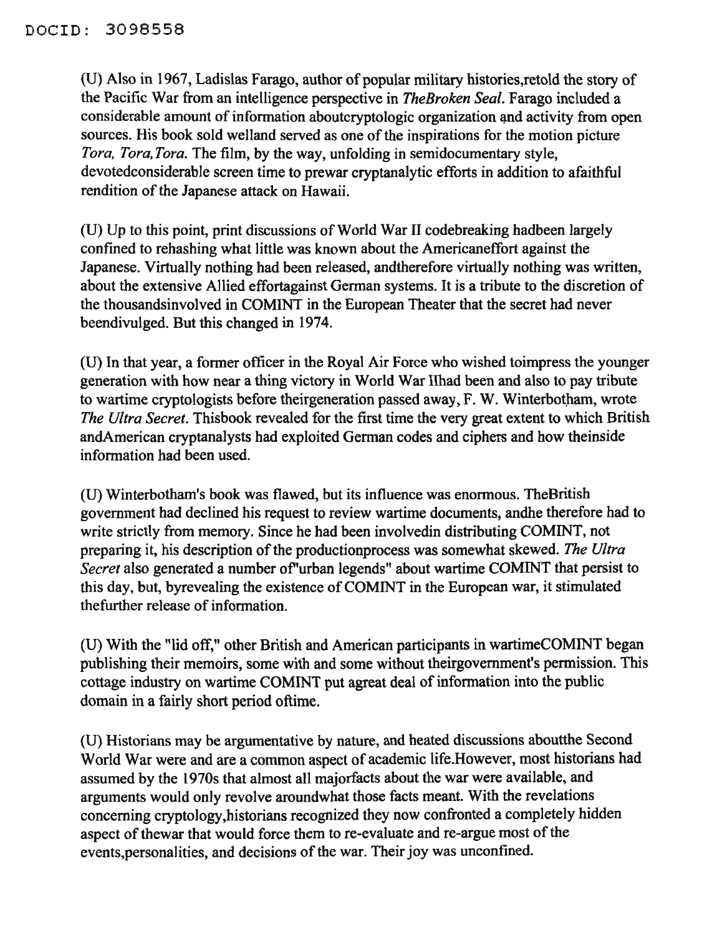(U) Also in 1967, Ladislas Farago, author of popular military histories,retold the story of the Pacific War from an intelligence perspective in *TheBraken Seal.* Farago included a considerable amount of information aboutcryptologic organization and activity from open sources. His book sold welland served as one of the inspirations for the motion picture *Tara, Tara, Tara.* The film, by the way, unfolding in semidocumentary style, devotedconsiderable screen time to prewar cryptanalytic efforts in addition to afaithful rendition of the Japanese attack on Hawaii.

(D) Up to this point, print discussions ofWorld War II codebreaking hadbeen largely confined to rehashing what little was known about the Americaneffort against the Japanese. Virtually nothing had been released, andtherefore virtually nothing was written, about the extensive Allied effortagainst German systems. It is a tribute to the discretion of the thousandsinvolved in COMINT in the European Theater that the secret had never beendivulged. But this changed in 1974.

(U) In that year, a former officer in the Royal Air Force who wished toimpress the younger generation with how near a thing victory in World War IIhad been and also to pay tribute to wartime cryptologists before theirgeneration passed away, F. W. Winterbotham, wrote *The Ultra Secret.* Thisbook revealed for the first time the very great extent to which British andAmerican cryptanalysts had exploited German codes and ciphers and how theinside information had been used.

(D) Winterbotham's book was flawed, but its influence was enormous. TheBritish government had declined his request to review wartime documents; andhe therefore had to write strictly from memory. Since he had been involvedin distributing COMINT, not preparing it, his description of the productionprocess was somewhat skewed. The Ultra *Secret* also generated a number of"urban legends" about wartime COMINT that persist to this day, but, byrevealing the existence of COMINT in the European war, it stimulated thefurther release of information.

(D) With the "lid off," other British and American participants in wartimeCOMINT began publishing their memoirs, some with and some without theirgovernment's permission. This cottage industry on wartime COMINT put agreat deal of information into the public domain in a fairly short period oftime.

(U) Historians may be argumentative by nature, and heated discussions aboutthe Second World War were and are a common aspect of academic life.However, most historians had assumed by the 1970s that almost all majorfacts about the war were available, and arguments would only revolve aroundwhat those facts meant. With the revelations concerning cryptology,historians recognized they now confronted a completely hidden aspect of thewar that would force them to re-evaluate and re-argue most of the events, personalities, and decisions of the war. Their joy was unconfined.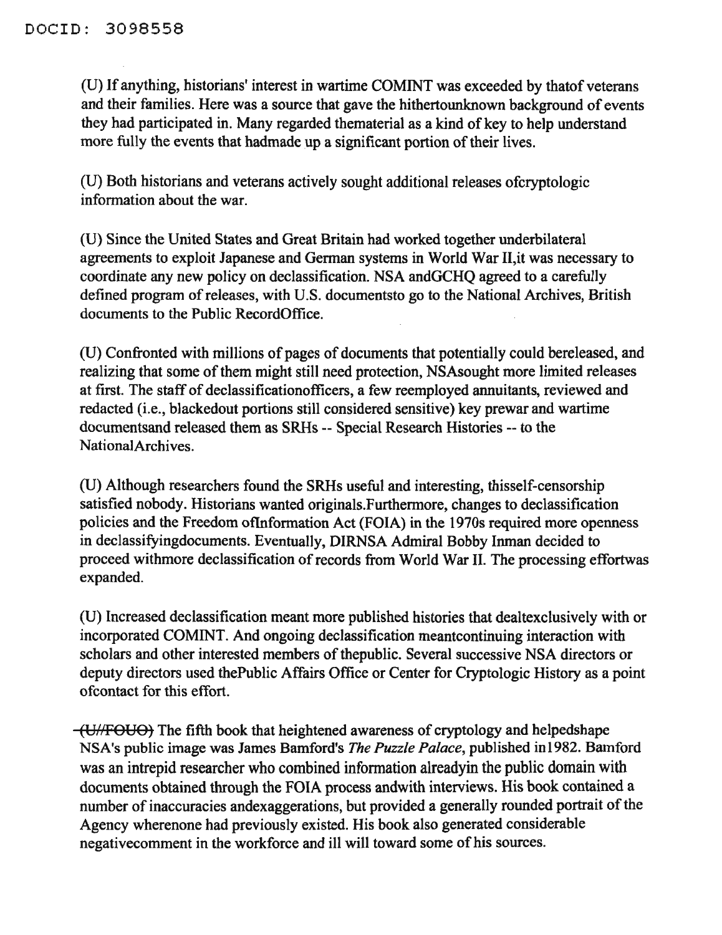(U) Ifanything, historians' interest in wartime COMINT was exceeded by thatof veterans and their families. Here was a source that gave the hithertounknown background of events they had participated in. Many regarded thematerial as a kind of key to help understand more fully the events that hadmade up a significant portion of their lives.

(U) Both historians and veterans actively sought additional releases ofcryptologic information about the war.

(U) Since the United States and Great Britain had worked together underbilateral agreements to exploit Japanese and German systems in World War II,it was necessary to coordinate any new policy on declassification. NSA andGCHQ agreed to a carefully defined program of releases, with U.S. documentsto go to the National Archives, British documents to the Public RecordOffice.

(U) Confronted with millions of pages of documents that potentially could bereleased, and realizing that some of them might still need protection, NSAsought more limited releases at first. The staff of declassificationofficers, a few reemployed annuitants, reviewed and redacted (i.e., blackedout portions still considered sensitive) key prewar and wartime documentsand released them as SRHs -- Special Research Histories -- to the NationalArchives.

(D) Although researchers found the SRHs useful and interesting, thisself-censorship satisfied nobody. Historians wanted originals.Furthermore, changes to declassification policies and the Freedom otlnformation Act (FOIA) in the 1970s required more openness in declassifyingdocuments. Eventually, DIRNSA Admiral Bobby Inman decided to proceed withmore declassification of records from World War II. The processing effortwas expanded.

(D) Increased declassification meant more published histories that dealtexclusively with or incorporated COMINT. And ongoing declassification meantcontinuing interaction with scholars and other interested members of thepublic. Several successive NSA directors or deputy directors used thePublic Affairs Office or Center for Cryptologic History as a point ofcontact for this effort.

(VI/FOBO) The fifth book that heightened awareness of cryptology and helpedshape NSA's public image was James Bamford's *The Puzzle Palace,* published in1982. Bamford was an intrepid researcher who combined information alreadyin the public domain with documents obtained through the FOIA process andwith interviews. His book contained a number of inaccuracies andexaggerations, but provided a generally rounded portrait of the Agency wherenone had previously existed. His book also generated considerable negativecomment in the workforce and ill will toward some of his sources.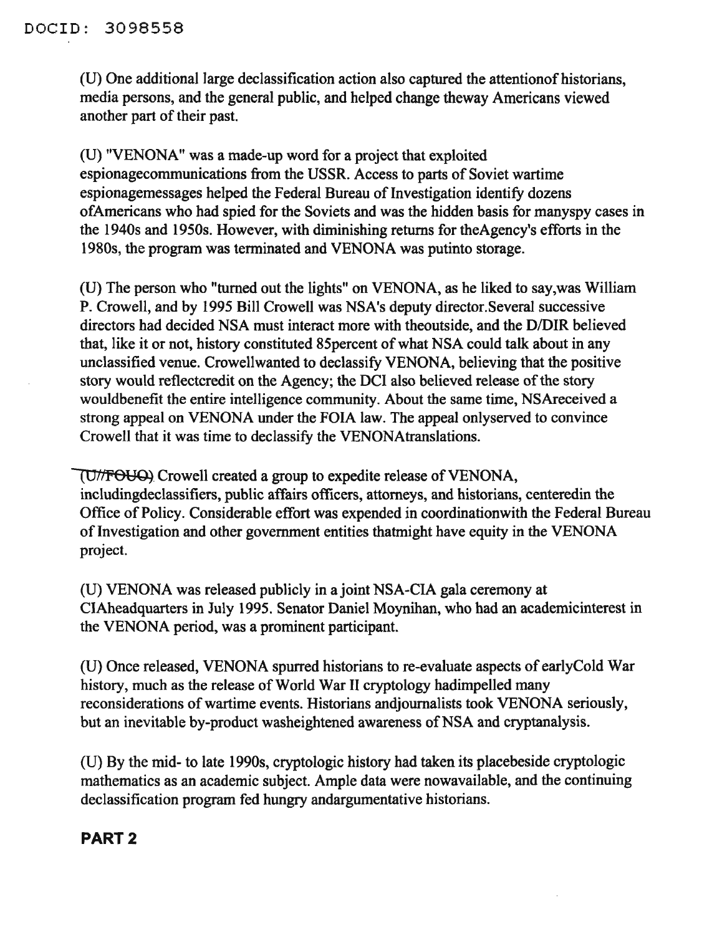(U) One additional large declassification action also captured the attentionof historians, media persons, and the general public, and helped change theway Americans viewed another part of their past.

(D) "VENONA" was a made-up word for a project that exploited espionagecommunications from the USSR. Access to parts of Soviet wartime espionagemessages helped the Federal Bureau of Investigation identify dozens ofAmericans who had spied for the Soviets and was the hidden basis for manyspy cases in the 1940s and 1950s. However, with diminishing returns for theAgency's efforts in the 1980s, the program was terminated and VENONA was putinto storage.

(U) The person who "turned out the lights" on VENONA, as he liked to say,was William P. Crowell, and by 1995 Bill Crowell was NSA's deputy director.Several successive directors had decided NSA must interact more with theoutside, and the D/DIR believed that, like it or not, history constituted 85 percent of what NSA could talk about in any unclassified venue. Crowellwanted to declassify VENONA, believing that the positive story would reflectcredit on the Agency; the DCI also believed release of the story wouldbenefit the entire intelligence community. About the same time, NSAreceived a strong appeal on VENONA under the FOIA law. The appeal onlyserved to convince Crowell that it was time to declassify the VENONAtranslations.

(U/FOUQ) Crowell created a group to expedite release of VENONA, incIudingdecIassifiers, public affairs officers, attorneys, and historians, centeredin the Office of Policy. Considerable effort was expended in coordinationwith the Federal Bureau of Investigation and other government entities thatmight have equity in the VENONA project.

(D) VENONA was released publicly in a joint NSA-CIA gala ceremony at CIAheadquarters in July 1995. Senator Daniel Moynihan, who had an academicinterest in the VENONA period, was a prominent participant.

(U) Once released, VENONA spurred historians to re-evaluate aspects of earlyCold War history, much as the release of World War II cryptology hadimpelled many reconsiderations of wartime events. Historians andjournalists took VENONA seriously, but an inevitable by-product washeightened awareness of NSA and cryptanalysis.

(U) By the mid- to late 1990s, cryptologic history had taken its placebeside cryptologic mathematics as an academic subject. Ample data were nowavailable, and the continuing declassification program fed hungry andargumentative historians.

#### PART 2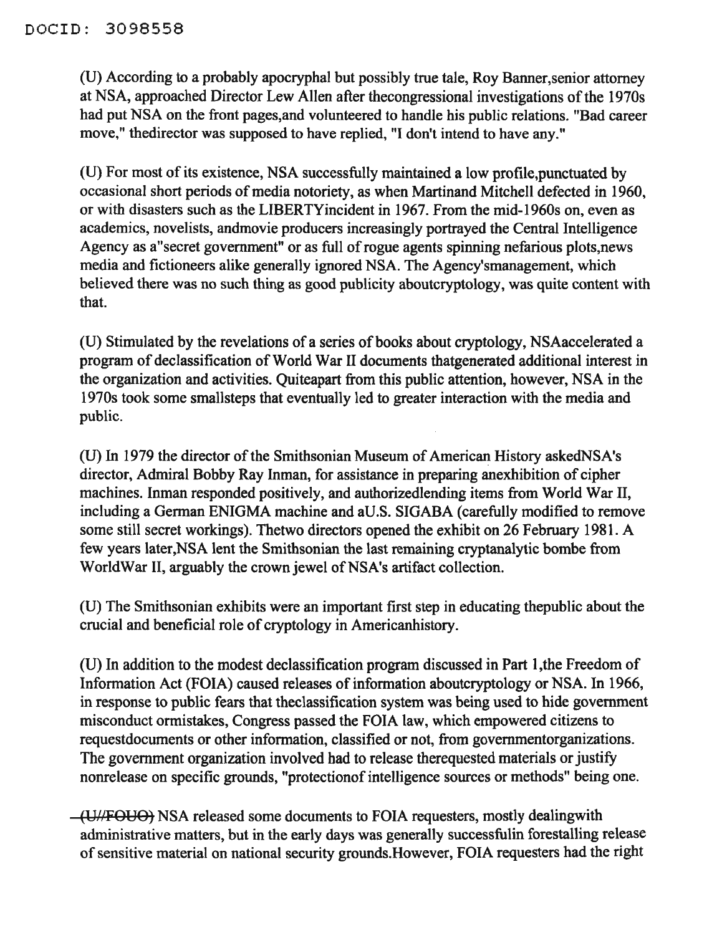(U) According to a probably apocryphal but possibly true tale, Roy Banner,senior attorney at NSA, approached Director Lew Allen after thecongressional investigations ofthe 1970s had put NSA on the front pages,and volunteered to handle his public relations. "Bad career move," thedirector was supposed to have replied, "I don't intend to have any."

(U) For most ofits existence, NSA successfully maintained a low profile,punctuated by occasional short periods of media notoriety, as when Martinand Mitchell defected in 1960, or with disasters such as the LIBERTYincident in 1967. From the mid-1960s on, even as academics, novelists, andmovie producers increasingly portrayed the Central Intelligence Agency as a secret government" or as full of rogue agents spinning nefarious plots, news media and fictioneers alike generally ignored NSA. The Agency'smanagement, which believed there was no such thing as good publicity aboutcryptology, was quite content with that.

(U) Stimulated by the revelations of a series of books about cryptology, NSAaccelerated a program of declassification of World War II documents thatgenerated additional interest in the organization and activities. Quiteapart from this public attention, however, NSA in the 1970s took some smallsteps that eventually led to greater interaction with the media and public.

(U) In 1979 the director of the Smithsonian Museum of American History askedNSA's director, Admiral Bobby Ray Inman, for assistance in preparing anexhibition of cipher machines. Inman responded positively, and authorizedlending items from World War II, including a German ENIGMA machine and aV.S. SIGABA (carefully modified to remove some still secret workings). Thetwo directors opened the exhibit on 26 February 1981. A few years later,NSA lent the Smithsonian the last remaining cryptanalytic bombe from WorldWar II, arguably the crown jewel of NSA's artifact collection.

(U) The Smithsonian exhibits were an important first step in educating thepublic about the crucial and beneficial role of cryptology in Americanhistory.

(D) In addition to the modest declassification program discussed in Part 1,the Freedom of Information Act (FOIA) caused releases of information aboutcryptology or NSA. In 1966, in response to public fears that theclassification system was being used to hide government misconduct ormistakes, Congress passed the FOIA law, which empowered citizens to requestdocuments or other information, classified or not, from governmentorganizations. The government organization involved had to release therequested materials or justify nonrelease on specific grounds, "protectionof intelligence sources or methods" being one.

(UNFOUO) NSA released some documents to FOIA requesters, mostly dealingwith administrative matters, but in the early days was generally successfulin forestalling release of sensitive material on national security grounds. However, FOIA requesters had the right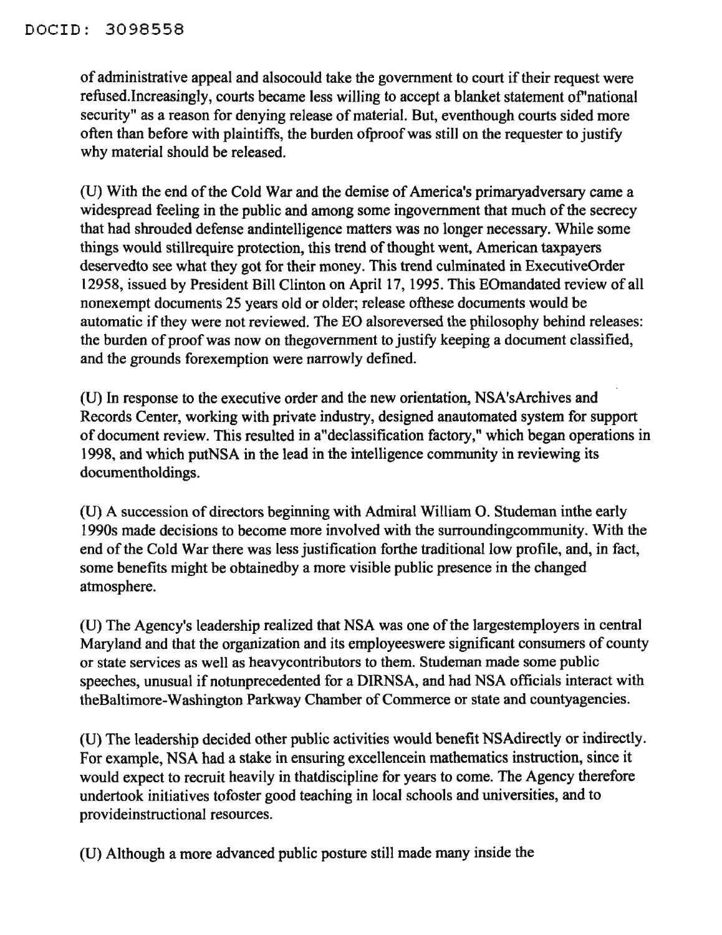of administrative appeal and alsocould take the government to court if their request were refused.Increasingly, courts became less willing to accept a blanket statement of'national security" as a reason for denying release of material. But, eventhough courts sided more often than before with plaintiffs, the burden ofproofwas still on the requester to justify why material should be released.

(U) With the end of the Cold War and the demise of America's primaryadversary came a widespread feeling in the public and among some ingovernment that much of the secrecy that had shrouded defense andintelligence matters was no longer necessary. While some things would stillrequire protection, this trend of thought went, American taxpayers deservedto see what they got for their money. This trend culminated in ExecutiveOrder 12958, issued by President Bill Clinton on April 17, 1995. This EOmandated review of all nonexempt documents 25 years old or older; release ofthese documents would be automatic if they were not reviewed. The EO alsoreversed the philosophy behind releases: the burden of proof was now on thegovernment to justify keeping a document classified, and the grounds forexemption were narrowly defined.

(U) In response to the executive order and the new orientation, NSA'sArchives and Records Center, working with private industry, designed anautomated system for support of document review. This resulted in a"declassification factory," which began operations in 1998, and which putNSA in the lead in the intelligence community in reviewing its documentholdings.

(U) A succession of directors beginning with Admiral William O. Studeman inthe early 1990s made decisions to become more involved with the surroundingcommunity. With the end of the Cold War there was less justification forthe traditional low profile, and, in fact, some benefits might be obtainedby a more visible public presence in the changed atmosphere.

(U) The Agency's leadership realized that NSA was one of the largestemployers in central Maryland and that the organization and its employeeswere significant consumers of county or state services as well as heavycontributors to them. Studeman made some public speeches, unusual if notunprecedented for a DIRNSA, and had NSA officials interact with theBaltimore-Washington Parkway Chamber of Commerce or state and countyagencies.

(U) The leadership decided other public activities would benefit NSAdirectly or indirectly. For example, NSA had a stake in ensuring excellencein mathematics instruction, since it would expect to recruit heavily in thatdiscipline for years to come. The Agency therefore undertook initiatives tofoster good teaching in local schools and universities, and to provideinstructional resources.

(U) Although a more advanced public posture still made many inside the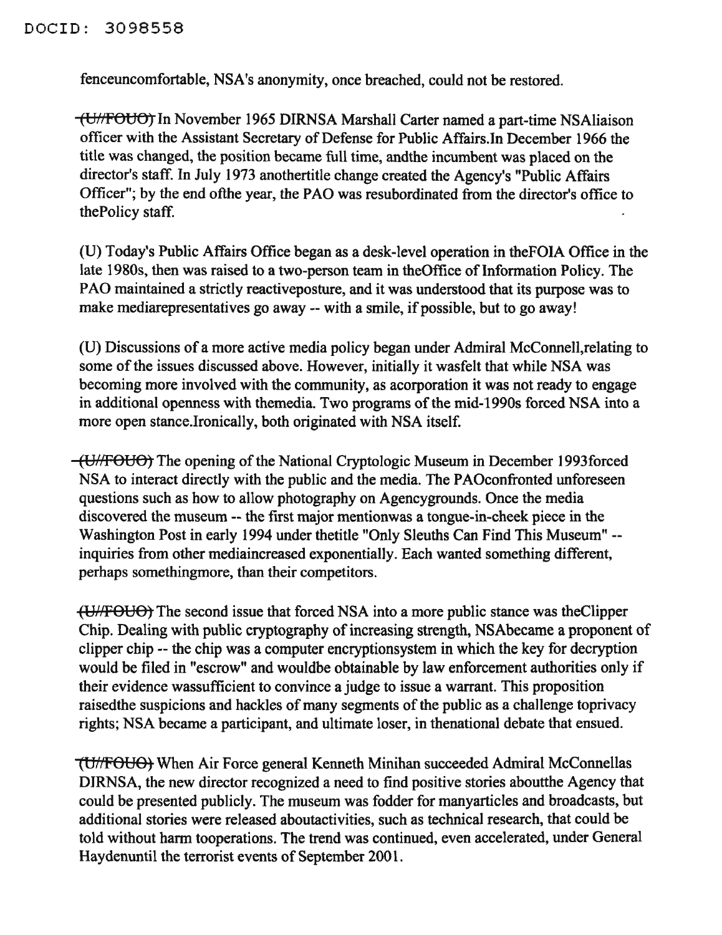fenceuncomfortable, NSA's anonymity, once breached, could not be restored.

(Ui/fOUO) In November 1965 DIRNSA Marshall Carter named a part-time NSAliaison officer with the Assistant Secretary of Defense for Public Affairs.In December 1966 the title was changed, the position became full time, andthe incumbent was placed on the director's staff. In July 1973 anothertitle change created the Agency's "Public Affairs Officer"; by the end ofthe year, the PAO was resubordinated from the director's office to thePolicy staff.

(U) Today's Public Affairs Office began as a desk-level operation in theFOIA Office in the late 1980s, then was raised to a two-person team in theOffice of Information Policy. The PAO maintained a strictly reactiveposture, and it was understood that its purpose was to make mediarepresentatives go away -- with a smile, if possible, but to go away!

(U) Discussions of a more active media policy began under Admiral McConnell,relating to some of the issues discussed above. However, initially it wasfelt that while NSA was becoming more involved with the community, as acorporation it was not ready to engage in additional openness with themedia. Two programs of the mid-1990s forced NSA into a more open stance.Ironically, both originated with NSA itself.

(UHFOUO) The opening of the National Cryptologic Museum in December 1993forced NSA to interact directly with the public and the media. The PAOconfronted unforeseen questions such as how to allow photography on Agencygrounds. Once the media discovered the museum -- the fIrst major mentionwas a tongue-in-cheek piece in the Washington Post in early 1994 under thetitle "Only Sleuths Can Find This Museum" - inquiries from other mediaincreased exponentially. Each wanted something different, perhaps somethingmore, than their competitors.

(U/FOUO) The second issue that forced NSA into a more public stance was the Clipper Chip. Dealing with public cryptography of increasing strength, NSAbecame a proponent of clipper chip -- the chip was a computer encryptionsystem in which the key for decryption would be filed in "escrow" and wouldbe obtainable by law enforcement authorities only if their evidence wassufficient to convince a judge to issue a warrant. This proposition raisedthe suspicions and hackles of many segments of the public as a challenge toprivacy rights; NSA became a participant, and ultimate loser, in thenational debate that ensued.

"(Uh'FOUO, When Air Force general Kenneth Minihan succeeded Admiral McConnellas DIRNSA, the new director recognized a need to find positive stories aboutthe Agency that could be presented publicly. The museum was fodder for manyarticles and broadcasts, but additional stories were released aboutactivities, such as technical research, that could be told without harm tooperations. The trend was continued, even accelerated, under General Haydenuntil the terrorist events of September 2001.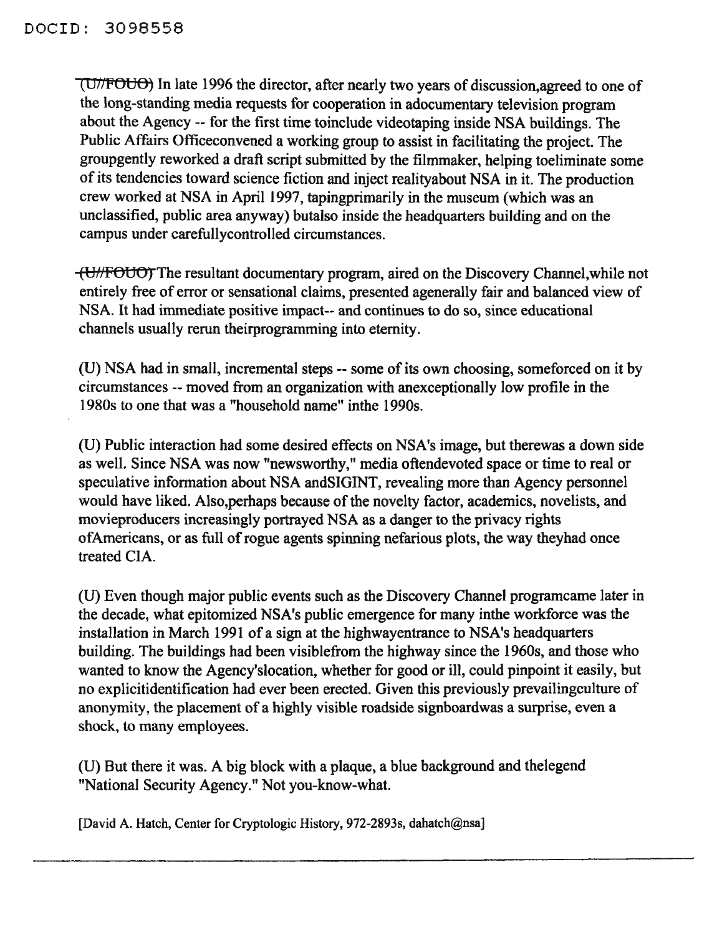(U77'POUO) In late 1996 the director, after nearly two years of discussion,agreed to one of the long-standing media requests for cooperation in adocumentary television program about the Agency -- for the first time toinclude videotaping inside NSA buildings. The Public Affairs Officeconvened a working group to assist in facilitating the project. The groupgently reworked a draft script submitted by the filmmaker, helping toeliminate some of its tendencies toward science fiction and inject realityabout NSA in it. The production crew worked at NSA in April 1997, tapingprimarily in the museum (which was an unclassified, public area anyway) butalso inside the headquarters building and on the campus under carefullycontrolled circumstances.

(UHFOUO) The resultant documentary program, aired on the Discovery Channel,while not entirely free of error or sensational claims, presented agenerally fair and balanced view of NSA. It had immediate positive impact-- and continues to do so, since educational channels usually rerun theirprogramming into eternity.

(U) NSA had in small, incremental steps -- some of its own choosing, someforced on it by circumstances -- moved from an organization with anexceptionally low profile in the 1980s to one that was a "household name" inthe 1990s.

(U) Public interaction had some desired effects on NSA's image, but therewas a down side as well. Since NSA was now "newsworthy," media oftendevoted space or time to real or speculative information about NSA andSIGINT, revealing more than Agency personnel would have liked. Also, perhaps because of the novelty factor, academics, novelists, and movieproducers increasingly portrayed NSA as a danger to the privacy rights of Americans, or as full of rogue agents spinning nefarious plots, the way theyhad once treated CIA.

(U) Even though major public events such as the Discovery Channel programcame later in the decade, what epitomized NSA's public emergence for many inthe workforce was the installation in March 1991 of a sign at the highwayentrance to NSA's headquarters building. The buildings had been visiblefrom the highway since the 1960s, and those who wanted to know the Agency'slocation, whether for good or ill, could pinpoint it easily, but no explicitidentification had ever been erected. Given this previously prevailingculture of anonymity, the placement of a highly visible roadside signboardwas a surprise, even a shock, to many employees.

(U) But there it was. A big block with a plaque, a blue background and thelegend "National Security Agency." Not you-know-what.

[David A. Hatch, Center for Cryptologic History, 972-2893s, dahatch@nsa]